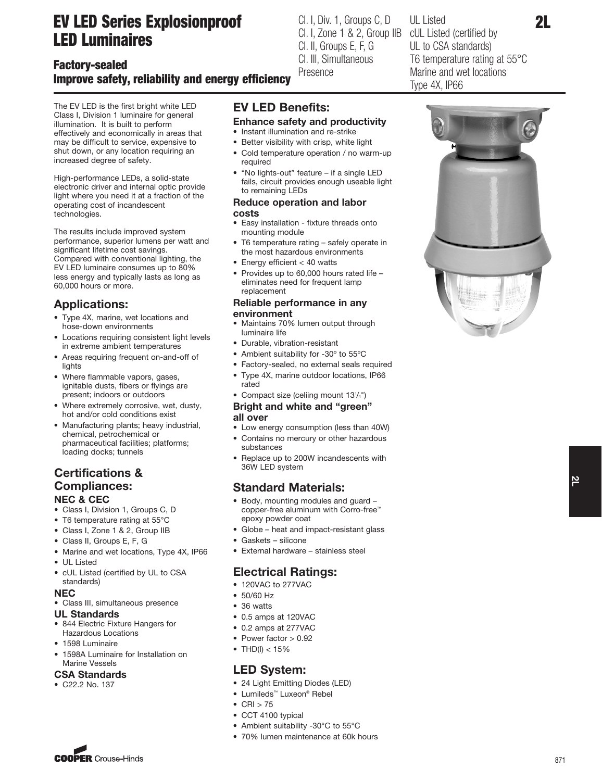# EV LED Series Explosionproof LED Luminaires

# Factory-sealed Improve safety, reliability and energy efficiency

The EV LED is the first bright white LED Class I, Division 1 luminaire for general illumination. It is built to perform effectively and economically in areas that may be difficult to service, expensive to shut down, or any location requiring an increased degree of safety.

High-performance LEDs, a solid-state electronic driver and internal optic provide light where you need it at a fraction of the operating cost of incandescent technologies.

The results include improved system performance, superior lumens per watt and significant lifetime cost savings. Compared with conventional lighting, the EV LED luminaire consumes up to 80% less energy and typically lasts as long as 60,000 hours or more.

### Applications:

- Type 4X, marine, wet locations and hose-down environments
- Locations requiring consistent light levels in extreme ambient temperatures
- Areas requiring frequent on-and-off of lights
- Where flammable vapors, gases, ignitable dusts, fibers or flyings are present; indoors or outdoors
- Where extremely corrosive, wet, dusty, hot and/or cold conditions exist
- Manufacturing plants; heavy industrial, chemical, petrochemical or pharmaceutical facilities; platforms; loading docks; tunnels

### **Certifications &** Compliances: NEC & CEC

- Class I, Division 1, Groups C, D
- T6 temperature rating at 55°C
- Class I, Zone 1 & 2, Group IIB
- Class II, Groups E, F, G
- Marine and wet locations, Type 4X, IP66
- UL Listed
- cUL Listed (certified by UL to CSA standards)

#### NEC

- Class III, simultaneous presence
- UL Standards
- 844 Electric Fixture Hangers for Hazardous Locations
- 1598 Luminaire
- 1598A Luminaire for Installation on Marine Vessels

### CSA Standards

• C22.2 No. 137

# EV LED Benefits:

- Enhance safety and productivity
- Instant illumination and re-strike
- Better visibility with crisp, white light • Cold temperature operation / no warm-up required
- "No lights-out" feature if a single LED fails, circuit provides enough useable light to remaining LEDs

#### Reduce operation and labor costs

- Easy installation fixture threads onto mounting module
- T6 temperature rating safely operate in the most hazardous environments
- Energy efficient < 40 watts
- Provides up to 60,000 hours rated life eliminates need for frequent lamp replacement

#### Reliable performance in any environment

- Maintains 70% lumen output through luminaire life
- Durable, vibration-resistant
- Ambient suitability for -30º to 55ºC
- Factory-sealed, no external seals required • Type 4X, marine outdoor locations, IP66 rated
- Compact size (celiing mount 131 /4")

#### Bright and white and "green" all over

- Low energy consumption (less than 40W)
- Contains no mercury or other hazardous substances
- Replace up to 200W incandescents with

### Standard Materials:

- Body, mounting modules and guard copper-free aluminum with Corro-free™ epoxy powder coat
- Globe heat and impact-resistant glass
- Gaskets silicone
- External hardware stainless steel

### Electrical Ratings:

- 120VAC to 277VAC
- 50/60 Hz
- 36 watts
- 0.5 amps at 120VAC
- 0.2 amps at 277VAC
- Power factor > 0.92
- THD(I)  $< 15%$

### LED System:

- 24 Light Emitting Diodes (LED)
- Lumileds™ Luxeon® Rebel
- $\bullet$  CRI  $>$  75
- CCT 4100 typical
- Ambient suitability -30°C to 55°C
- 70% lumen maintenance at 60k hours



UL Listed

Cl. I, Div. 1, Groups C, D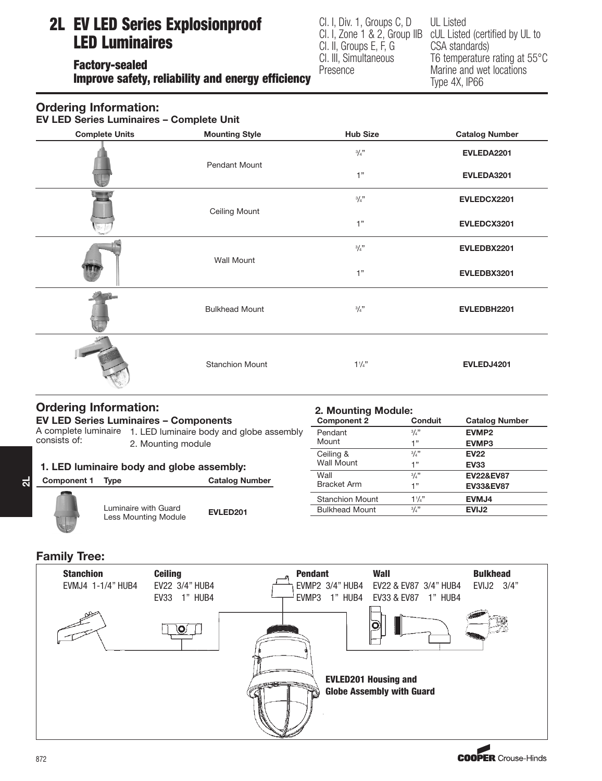# 2L EV LED Series Explosionproof LED Luminaires

Factory-sealed Improve safety, reliability and energy efficiency Cl. I, Div. 1, Groups C, D Cl. I, Zone 1 & 2, Group IIB Cl. II, Groups E, F, G Cl. III, Simultaneous Presence

2. Mounting Module:

UL Listed cUL Listed (certified by UL to CSA standards) T6 temperature rating at 55°C Marine and wet locations Type 4X, IP66

## Ordering Information:

EV LED Series Luminaires – Complete Unit

| <b>Complete Units</b> | <b>Mounting Style</b>  | <b>Hub Size</b>     | <b>Catalog Number</b> |
|-----------------------|------------------------|---------------------|-----------------------|
|                       |                        | 3/4"                | EVLEDA2201            |
|                       | Pendant Mount          | 1"                  | EVLEDA3201            |
|                       | <b>Ceiling Mount</b>   | $3/4$ "             | EVLEDCX2201           |
|                       |                        | 1"                  | EVLEDCX3201           |
|                       | <b>Wall Mount</b>      | 3/4"                | EVLEDBX2201           |
|                       |                        | 1"                  | EVLEDBX3201           |
|                       | <b>Bulkhead Mount</b>  | $3/4$ <sup>37</sup> | EVLEDBH2201           |
|                       | <b>Stanchion Mount</b> | $1\frac{1}{4}$      | EVLEDJ4201            |

# Ordering Information:

|                                              |                      |                                                                                     | <b>Z. MOUTHING MOULE.</b>  |                |                       |  |
|----------------------------------------------|----------------------|-------------------------------------------------------------------------------------|----------------------------|----------------|-----------------------|--|
| <b>EV LED Series Luminaires - Components</b> |                      |                                                                                     | <b>Component 2</b>         | <b>Conduit</b> | <b>Catalog Number</b> |  |
|                                              |                      | A complete luminaire 1. LED luminaire body and globe assembly<br>2. Mounting module |                            | 3/4"           | EVMP <sub>2</sub>     |  |
| consists of:                                 |                      |                                                                                     |                            | 1"             | EVMP3                 |  |
|                                              |                      |                                                                                     | Ceiling &                  | 3/4"           | <b>EV22</b>           |  |
| 1. LED luminaire body and globe assembly:    |                      | <b>Wall Mount</b>                                                                   | 1"                         | <b>EV33</b>    |                       |  |
| Component 1                                  | <b>Type</b>          | <b>Catalog Number</b>                                                               | Wall<br><b>Bracket Arm</b> | 3/4"           | <b>EV22&amp;EV87</b>  |  |
|                                              |                      |                                                                                     |                            | 1"             | <b>EV33&amp;EV87</b>  |  |
|                                              |                      |                                                                                     | <b>Stanchion Mount</b>     | $11_{4}$ "     | EVMJ4                 |  |
|                                              | Luminaire with Guard | EVLED201                                                                            | <b>Bulkhead Mount</b>      | 3/4"           | EVIJ <sub>2</sub>     |  |
|                                              | Less Mounting Module |                                                                                     |                            |                |                       |  |

### Family Tree:

 $\overline{\mathbf{a}}$ 

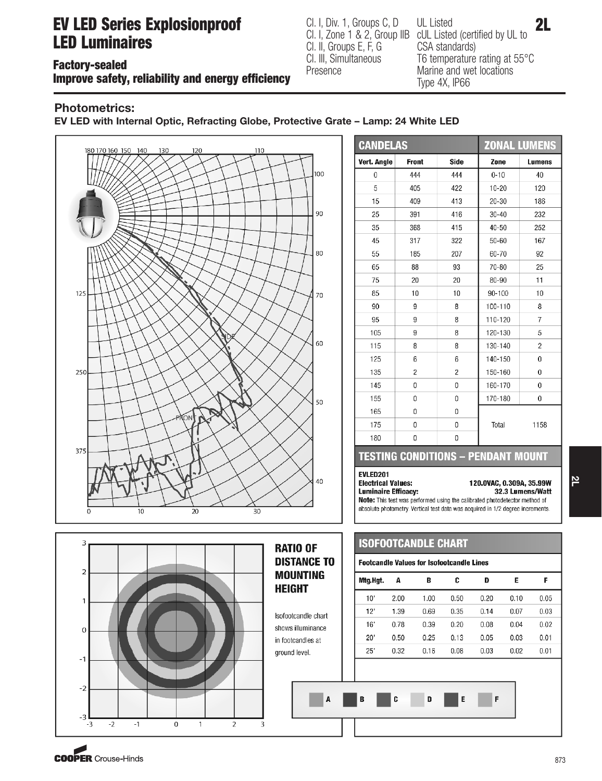# **EV LED Series Explosionproof** CLI, Div. 1, Groups C, D UL Listed Cartified by U. 1, 2L LED Luminaires

Factory-sealed

Improve safety, reliability and energy efficiency

Cl. I, Div. 1, Groups C, D Cl. I, Zone 1 & 2, Group IIB Cl. II, Groups E, F, G Cl. III, Simultaneous Presence

UL Listed cUL Listed (certified by UL to CSA standards) T6 temperature rating at 55°C Marine and wet locations Type 4X, IP66

## Photometrics:

EV LED with Internal Optic, Refracting Globe, Protective Grate – Lamp: 24 White LED



| <b>CANDELAS</b> |              | <b>ZONAL LUMENS</b> |           |                |
|-----------------|--------------|---------------------|-----------|----------------|
| Vert. Angle     | <b>Front</b> | Side                | Zone      | Lumens         |
| 0               | 444          | 444                 | $0 - 10$  | 40             |
| 5               | 405          | 422                 | $10 - 20$ | 120            |
| 15              | 409          | 413                 | $20 - 30$ | 186            |
| 25              | 391          | 416                 | $30 - 40$ | 232            |
| 35              | 368          | 415                 | $40 - 50$ | 252            |
| 45              | 317          | 322                 | 50-60     | 167            |
| 55              | 185          | 207                 | 60-70     | 92             |
| 65              | 88           | 93                  | 70-80     | 25             |
| 75              | 20           | 20                  | 80-90     | 11             |
| 85              | 10           | 10                  | 90-100    | 10             |
| 90              | 9            | 8                   | 100-110   | 8              |
| 95              | 9            | 8                   | 110-120   | 7              |
| 105             | 9            | 8                   | 120-130   | 5              |
| 115             | 8            | 8                   | 130-140   | $\overline{2}$ |
| 125             | 6            | 6                   | 140-150   | $\Omega$       |
| 135             | 2            | 2                   | 150-160   | 0              |
| 145             | 0            | 0                   | 160-170   | $\bf{0}$       |
| 155             | 0            | 0                   | 170-180   | 0              |
| 165             | 0            | 0                   |           |                |
| 175             | 0            | 0                   | Total     | 1158           |
| 180             | 0            | 0                   |           |                |

### **TESTING CONDITIONS - PENDANT MOUNT**

#### **EVLED201 Electrical Values: Luminaire Efficacy:**

120.0VAC, 0.309A, 35.99W 32.3 Lumens/Watt

Note: This test was performed using the calibrated photodetector method of absolute photometry. Vertical test data was acquired in 1/2 degree increments.